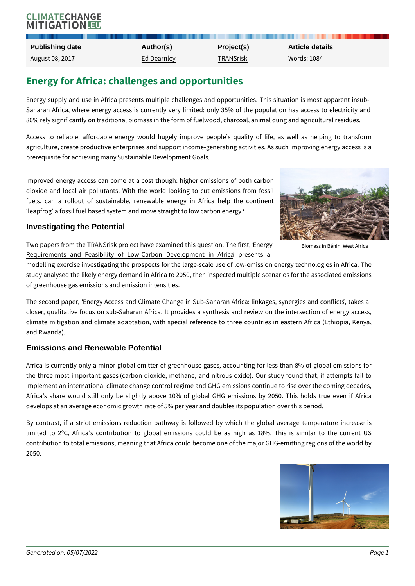# Energy for Africa: challenges and opportunities

Energy [su](https://en.wikipedia.org/wiki/Sub-Saharan_Africa)pply and use in Africa presents multiple challenges and sampportuniti [Saharan](https://en.wikipedia.org/wiki/Sub-Saharan_Africa) , A furicare energy access is currently very limited: only 35% of the population has access is currently very limited: only 35% of the population 80% rely significantly on traditional biomass in the form of fuelwood, charcoal,

Access to reliable, affordable energy would hugely improve people s quali agriculture, create productive enterprises and support income-generating activi prerequisite for achiestianion ambale y Development Goals

Improved energy access can come at a cost though: higher emissions of both dioxide and local air pollutants. With the world looking to cut emissions fr fuels, can a rollout of sustainable, renewable energy in Africa help the leapfrog a fossil fuel based system and move straight to low carbon energy?

## Investigating the Potential

Two papers from the TRANSrisk project have essameerignyed the ioSmalske eisstheapin,Twhaestfkin fisito [Requirements and Feasibility of Low-C](http://transrisk-project.eu/sites/default/files/Documents/4.4.4_Energy Requirements and Feasibility of Low-Carbon Development in Africa.pdf)arbpomesDetseloapment in Africa modelling exercise investigating the prospects for the large-scale use of lowstudy analysed the likely energy demand in Africa to 2050, then inspected mult of greenhouse gas emissions and emission intensities.

The second Epraepregy, Access and Climate Change in Sub-Saharan Africakte slinkage closer, qualitative focus on sub-Saharan Africa. It provides a synthesis and climate mitigation and climate adaptation, with special reference to three co and Rwanda).

## Emissions and Renewable Potential

Africa is currently only a minor global emitter of greenhouse gases, accounti the three most important gases (carbon dioxide, methane, and nitrous oxide). implement an international climate change control regime and GHG emissions c Africa s share would still only be slightly above 10% of global GHG emiss develops at an average economic growth rate of 5% per year and doubles its po

By contrast, if a strict emissions reduction pathway is followed by which t limited to 2°C, Africa s contribution to global emissions could be as high contribution to total emissions, meaning that Africa could become one of the m 2050.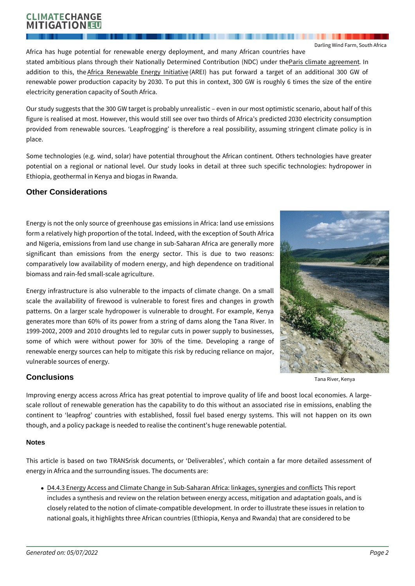Darling Wind Farm, South

Africa has huge potential for renewable energy deployment, and many Afric stated ambitious plans through their Nationally DetePmainse oclOmonate ibaugtime em (eNDIC addition to Alfris, cathe enewable Ene AREI) hinta astipe t forward a target of an add renewable power production capacity by 2030. To put this in context, 300 G electricity generation capacity of South Africa.

Our study suggests that the 300 GW target is probably unrealistic even in our figure is realised at most. However, this would still see over two thirds of Afr provided from renewable sources. Leapfrogging is therefore a real possibil place.

Some technologies (e.g. wind, solar) have potential throughout the African co potential on a regional or national level. Our study looks in detail at three Ethiopia, geothermal in Kenya and biogas in Rwanda.

## Other Considerations

Energy is not the only source of greenhouse gas emissions in Africa: land use form a relatively high proportion of the total. Indeed, with the exception of Sou and Nigeria, emissions from land use change in sub-Saharan Africa are general significant than emissions from the energy sector. This is due to two comparatively low availability of modern energy, and high dependence on trad biomass and rain-fed small-scale agriculture.

Energy infrastructure is also vulnerable to the impacts of climate change. O scale the availability of firewood is vulnerable to forest fires and changes patterns. On a larger scale hydropower is vulnerable to drought. For exampl generates more than 60% of its power from a string of dams along the Tana 1999-2002, 2009 and 2010 droughts led to regular cuts in power supply to bu some of which were without power for 30% of the time. Developing a renewable energy sources can help to mitigate this risk by reducing reliance on vulnerable sources of energy.

## **Conclusions**

#### Tana River, Kenya

Improving energy access across Africa has great potential to improve quality scale rollout of renewable generation has the capability to do this without an continent to leapfrog countries with established, fossil fuel based energy though, and a policy package is needed to realise the continent s huge renewat

#### Notes

This article is based on two TRANSrisk documents, or Deliverables, which energy in Africa and the surrounding issues. The documents are:

• [D4.4.3 Energy Access and Climate Change in Sub-Sahara](http://transrisk-project.eu/sites/default/files/Documents/4.4.3_Energy Access and Climate Change in Sub-Saharan Africa - linkages, synergies and conflicts.pdf)n Thisicapdinkages, includes a synthesis and review on the relation between energy access, mit closely related to the notion of climate-compatible development. In order to national goals, it highlights three African countries (Ethiopia, Kenya and R